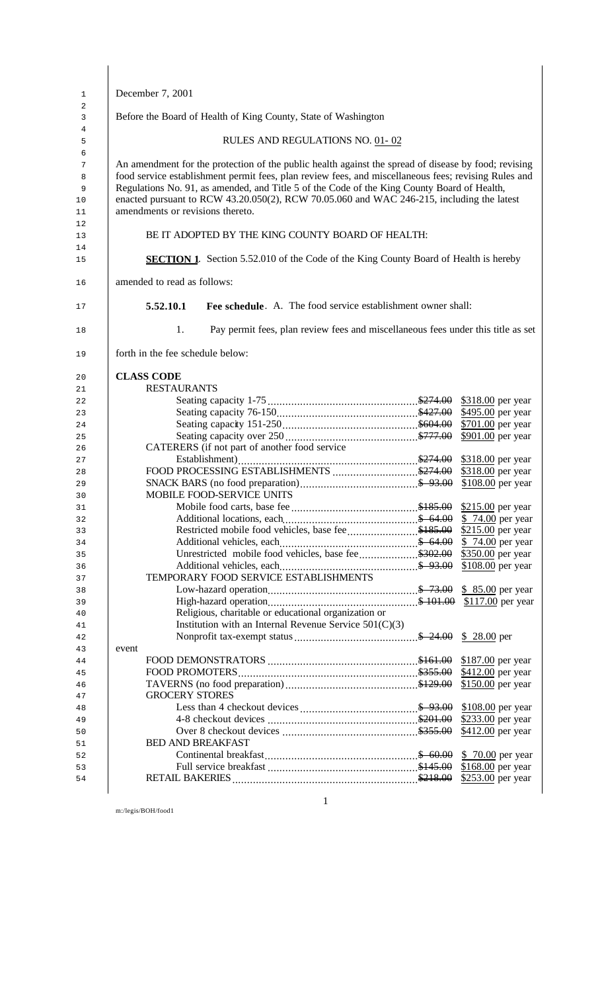|       | December 7, 2001                 |                                               |                                                                                                                                                                                                                                                                                                                                                                                                          |                                                                                                       |
|-------|----------------------------------|-----------------------------------------------|----------------------------------------------------------------------------------------------------------------------------------------------------------------------------------------------------------------------------------------------------------------------------------------------------------------------------------------------------------------------------------------------------------|-------------------------------------------------------------------------------------------------------|
|       |                                  |                                               | Before the Board of Health of King County, State of Washington                                                                                                                                                                                                                                                                                                                                           |                                                                                                       |
|       |                                  |                                               | RULES AND REGULATIONS NO. 01-02                                                                                                                                                                                                                                                                                                                                                                          |                                                                                                       |
|       | amendments or revisions thereto. |                                               | An amendment for the protection of the public health against the spread of disease by food; revising<br>food service establishment permit fees, plan review fees, and miscellaneous fees; revising Rules and<br>Regulations No. 91, as amended, and Title 5 of the Code of the King County Board of Health,<br>enacted pursuant to RCW 43.20.050(2), RCW 70.05.060 and WAC 246-215, including the latest |                                                                                                       |
|       |                                  |                                               | BE IT ADOPTED BY THE KING COUNTY BOARD OF HEALTH:                                                                                                                                                                                                                                                                                                                                                        |                                                                                                       |
|       |                                  |                                               | <b>SECTION 1.</b> Section 5.52.010 of the Code of the King County Board of Health is hereby                                                                                                                                                                                                                                                                                                              |                                                                                                       |
|       | amended to read as follows:      |                                               |                                                                                                                                                                                                                                                                                                                                                                                                          |                                                                                                       |
|       | 5.52.10.1                        |                                               | Fee schedule. A. The food service establishment owner shall:                                                                                                                                                                                                                                                                                                                                             |                                                                                                       |
|       | 1.                               |                                               | Pay permit fees, plan review fees and miscellaneous fees under this title as set                                                                                                                                                                                                                                                                                                                         |                                                                                                       |
|       | forth in the fee schedule below: |                                               |                                                                                                                                                                                                                                                                                                                                                                                                          |                                                                                                       |
|       | <b>CLASS CODE</b>                |                                               |                                                                                                                                                                                                                                                                                                                                                                                                          |                                                                                                       |
|       | <b>RESTAURANTS</b>               |                                               |                                                                                                                                                                                                                                                                                                                                                                                                          |                                                                                                       |
|       |                                  |                                               |                                                                                                                                                                                                                                                                                                                                                                                                          |                                                                                                       |
|       |                                  |                                               |                                                                                                                                                                                                                                                                                                                                                                                                          | \$495.00 per year                                                                                     |
|       |                                  |                                               |                                                                                                                                                                                                                                                                                                                                                                                                          | \$701.00 per year                                                                                     |
|       |                                  |                                               |                                                                                                                                                                                                                                                                                                                                                                                                          | \$901.00 per year                                                                                     |
|       |                                  | CATERERS (if not part of another food service |                                                                                                                                                                                                                                                                                                                                                                                                          |                                                                                                       |
|       |                                  |                                               |                                                                                                                                                                                                                                                                                                                                                                                                          |                                                                                                       |
|       |                                  |                                               |                                                                                                                                                                                                                                                                                                                                                                                                          |                                                                                                       |
|       |                                  |                                               |                                                                                                                                                                                                                                                                                                                                                                                                          | $$108.00$ per year                                                                                    |
|       |                                  | <b>MOBILE FOOD-SERVICE UNITS</b>              |                                                                                                                                                                                                                                                                                                                                                                                                          |                                                                                                       |
|       |                                  |                                               |                                                                                                                                                                                                                                                                                                                                                                                                          | \$215.00 per year                                                                                     |
|       |                                  |                                               |                                                                                                                                                                                                                                                                                                                                                                                                          | \$74.00 per year                                                                                      |
|       |                                  |                                               | Restricted mobile food vehicles, base fee\$185.00                                                                                                                                                                                                                                                                                                                                                        | \$215.00 per year                                                                                     |
|       |                                  |                                               |                                                                                                                                                                                                                                                                                                                                                                                                          | \$74.00 per year                                                                                      |
|       |                                  |                                               | Unrestricted mobile food vehicles, base fee\$302.00                                                                                                                                                                                                                                                                                                                                                      | \$350.00 per year                                                                                     |
|       |                                  |                                               |                                                                                                                                                                                                                                                                                                                                                                                                          | \$108.00 per year                                                                                     |
|       |                                  | TEMPORARY FOOD SERVICE ESTABLISHMENTS         |                                                                                                                                                                                                                                                                                                                                                                                                          |                                                                                                       |
|       |                                  |                                               |                                                                                                                                                                                                                                                                                                                                                                                                          |                                                                                                       |
|       |                                  |                                               |                                                                                                                                                                                                                                                                                                                                                                                                          |                                                                                                       |
|       |                                  |                                               | Religious, charitable or educational organization or                                                                                                                                                                                                                                                                                                                                                     |                                                                                                       |
|       |                                  |                                               | Institution with an Internal Revenue Service $501(C)(3)$                                                                                                                                                                                                                                                                                                                                                 |                                                                                                       |
|       |                                  |                                               |                                                                                                                                                                                                                                                                                                                                                                                                          | $$28.00$ per                                                                                          |
|       |                                  |                                               |                                                                                                                                                                                                                                                                                                                                                                                                          |                                                                                                       |
|       |                                  |                                               |                                                                                                                                                                                                                                                                                                                                                                                                          | \$187.00 per year                                                                                     |
| event |                                  |                                               |                                                                                                                                                                                                                                                                                                                                                                                                          |                                                                                                       |
|       |                                  |                                               |                                                                                                                                                                                                                                                                                                                                                                                                          |                                                                                                       |
|       |                                  |                                               |                                                                                                                                                                                                                                                                                                                                                                                                          |                                                                                                       |
|       |                                  |                                               |                                                                                                                                                                                                                                                                                                                                                                                                          |                                                                                                       |
|       | <b>GROCERY STORES</b>            |                                               |                                                                                                                                                                                                                                                                                                                                                                                                          |                                                                                                       |
|       |                                  |                                               |                                                                                                                                                                                                                                                                                                                                                                                                          |                                                                                                       |
|       |                                  |                                               |                                                                                                                                                                                                                                                                                                                                                                                                          |                                                                                                       |
|       |                                  |                                               |                                                                                                                                                                                                                                                                                                                                                                                                          |                                                                                                       |
|       | <b>BED AND BREAKFAST</b>         |                                               |                                                                                                                                                                                                                                                                                                                                                                                                          |                                                                                                       |
|       |                                  |                                               |                                                                                                                                                                                                                                                                                                                                                                                                          | \$412.00 per year<br>\$150.00 per year<br>\$108.00 per year<br>\$233.00 per year<br>\$412.00 per year |
|       |                                  |                                               |                                                                                                                                                                                                                                                                                                                                                                                                          | \$168.00 per year<br>\$253.00 per year                                                                |

m:/legis/BOH/food1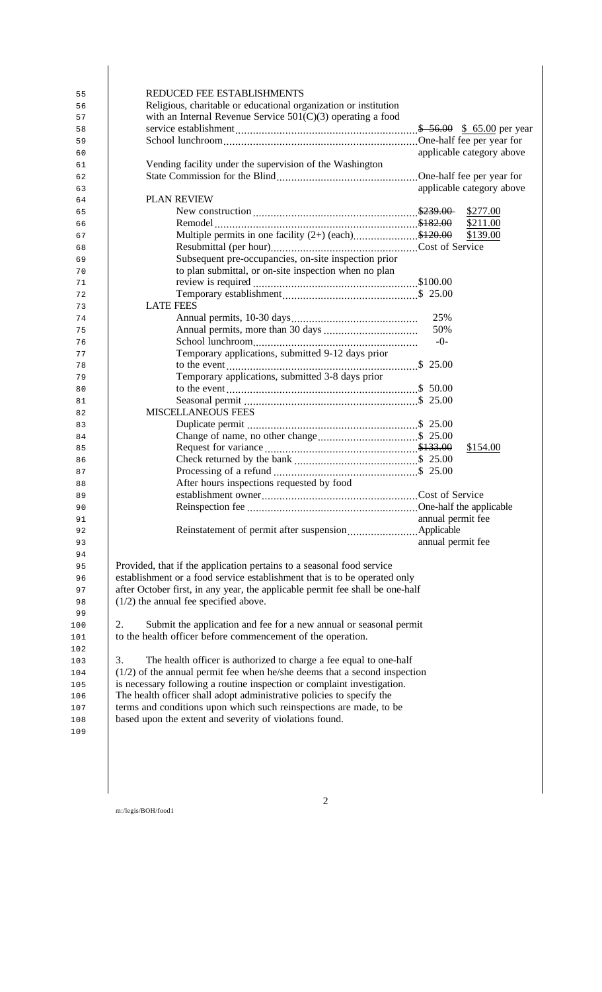| REDUCED FEE ESTABLISHMENTS                                  |                                                                               |                   |                           |
|-------------------------------------------------------------|-------------------------------------------------------------------------------|-------------------|---------------------------|
|                                                             | Religious, charitable or educational organization or institution              |                   |                           |
|                                                             | with an Internal Revenue Service $501(C)(3)$ operating a food                 |                   |                           |
|                                                             |                                                                               |                   |                           |
|                                                             |                                                                               |                   |                           |
|                                                             |                                                                               |                   |                           |
|                                                             |                                                                               |                   | applicable category above |
|                                                             | Vending facility under the supervision of the Washington                      |                   |                           |
|                                                             |                                                                               |                   |                           |
|                                                             |                                                                               |                   | applicable category above |
| PLAN REVIEW                                                 |                                                                               |                   |                           |
|                                                             |                                                                               |                   | \$277.00                  |
|                                                             |                                                                               |                   | \$211.00                  |
|                                                             | Multiple permits in one facility $(2+)$ (each)\$120.00                        |                   | \$139.00                  |
|                                                             |                                                                               |                   |                           |
|                                                             | Subsequent pre-occupancies, on-site inspection prior                          |                   |                           |
|                                                             |                                                                               |                   |                           |
|                                                             | to plan submittal, or on-site inspection when no plan                         |                   |                           |
|                                                             |                                                                               |                   |                           |
|                                                             |                                                                               |                   |                           |
| <b>LATE FEES</b>                                            |                                                                               |                   |                           |
|                                                             |                                                                               | 25%               |                           |
|                                                             |                                                                               | 50%               |                           |
|                                                             |                                                                               | $-()$ -           |                           |
|                                                             | Temporary applications, submitted 9-12 days prior                             |                   |                           |
|                                                             |                                                                               |                   |                           |
|                                                             | Temporary applications, submitted 3-8 days prior                              |                   |                           |
|                                                             |                                                                               |                   |                           |
|                                                             |                                                                               |                   |                           |
|                                                             |                                                                               |                   |                           |
| <b>MISCELLANEOUS FEES</b>                                   |                                                                               |                   |                           |
|                                                             |                                                                               |                   |                           |
|                                                             |                                                                               |                   |                           |
|                                                             |                                                                               |                   | \$154.00                  |
|                                                             |                                                                               |                   |                           |
|                                                             |                                                                               |                   |                           |
|                                                             | After hours inspections requested by food                                     |                   |                           |
|                                                             |                                                                               |                   |                           |
|                                                             |                                                                               |                   |                           |
|                                                             |                                                                               | annual permit fee |                           |
|                                                             |                                                                               |                   |                           |
|                                                             |                                                                               |                   |                           |
|                                                             |                                                                               | annual permit fee |                           |
|                                                             |                                                                               |                   |                           |
|                                                             | Provided, that if the application pertains to a seasonal food service         |                   |                           |
|                                                             | establishment or a food service establishment that is to be operated only     |                   |                           |
|                                                             | after October first, in any year, the applicable permit fee shall be one-half |                   |                           |
| $(1/2)$ the annual fee specified above.                     |                                                                               |                   |                           |
|                                                             |                                                                               |                   |                           |
| 2.                                                          | Submit the application and fee for a new annual or seasonal permit            |                   |                           |
| to the health officer before commencement of the operation. |                                                                               |                   |                           |
|                                                             |                                                                               |                   |                           |
| 3.                                                          | The health officer is authorized to charge a fee equal to one-half            |                   |                           |
|                                                             |                                                                               |                   |                           |
|                                                             | $(1/2)$ of the annual permit fee when he/she deems that a second inspection   |                   |                           |
|                                                             | is necessary following a routine inspection or complaint investigation.       |                   |                           |
|                                                             | The health officer shall adopt administrative policies to specify the         |                   |                           |
|                                                             | terms and conditions upon which such reinspections are made, to be            |                   |                           |
| based upon the extent and severity of violations found.     |                                                                               |                   |                           |
|                                                             |                                                                               |                   |                           |
|                                                             |                                                                               |                   |                           |
|                                                             |                                                                               |                   |                           |
|                                                             |                                                                               |                   |                           |

m:/legis/BOH/food1